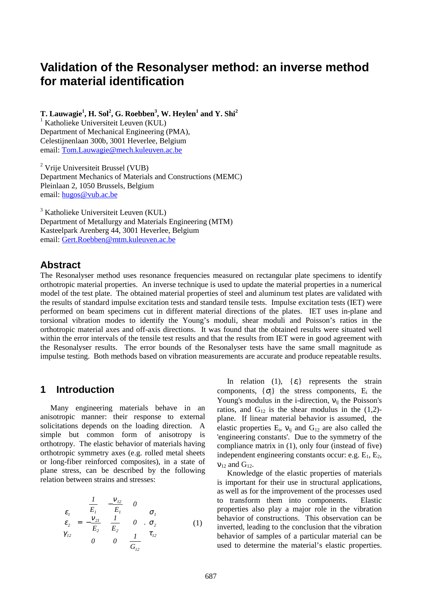# **Validation of the Resonalyser method: an inverse method for material identification**

 $\bf{T}.$  Lauwagie<sup>1</sup>, H. Sol<sup>2</sup>, G. Roebben<sup>3</sup>, W. Heylen<sup>1</sup> and  $\bf{Y}.$  Shi<sup>2</sup>

<sup>1</sup> Katholieke Universiteit Leuven (KUL) Department of Mechanical Engineering (PMA), Celestijnenlaan 300b, 3001 Heverlee, Belgium email: Tom.Lauwagie@mech.kuleuven.ac.be

<sup>2</sup> Vrije Universiteit Brussel (VUB) Department Mechanics of Materials and Constructions (MEMC) Pleinlaan 2, 1050 Brussels, Belgium email: hugos@vub.ac.be

 $3$  Katholieke Universiteit Leuven (KUL) Department of Metallurgy and Materials Engineering (MTM) Kasteelpark Arenberg 44, 3001 Heverlee, Belgium email: Gert.Roebben@mtm.kuleuven.ac.be

### **Abstract**

The Resonalyser method uses resonance frequencies measured on rectangular plate specimens to identify orthotropic material properties. An inverse technique is used to update the material properties in a numerical model of the test plate. The obtained material properties of steel and aluminum test plates are validated with the results of standard impulse excitation tests and standard tensile tests. Impulse excitation tests (IET) were performed on beam specimens cut in different material directions of the plates. IET uses in-plane and torsional vibration modes to identify the Young's moduli, shear moduli and Poisson's ratios in the orthotropic material axes and off-axis directions. It was found that the obtained results were situated well within the error intervals of the tensile test results and that the results from IET were in good agreement with the Resonalyser results. The error bounds of the Resonalyser tests have the same small magnitude as impulse testing. Both methods based on vibration measurements are accurate and produce repeatable results.

### **1 Introduction**

Many engineering materials behave in an anisotropic manner: their response to external solicitations depends on the loading direction. A simple but common form of anisotropy is orthotropy. The elastic behavior of materials having orthotropic symmetry axes (e.g. rolled metal sheets or long-fiber reinforced composites), in a state of plane stress, can be described by the following relation between strains and stresses:

$$
\begin{Bmatrix} \varepsilon_1 \\ \varepsilon_2 \\ \gamma_{12} \end{Bmatrix} = \begin{bmatrix} \frac{I}{E_1} & -\frac{v_{12}}{E_1} & 0 \\ -\frac{v_{21}}{E_2} & \frac{I}{E_2} & 0 \\ 0 & 0 & \frac{I}{G_{12}} \end{bmatrix} \begin{bmatrix} \sigma_1 \\ \sigma_2 \\ \tau_{12} \end{bmatrix} \tag{1}
$$

In relation (1),  $\{\varepsilon_i\}$  represents the strain components,  $\{\sigma_i\}$  the stress components, E<sub>i</sub> the Young's modulus in the i-direction,  $v_{ii}$  the Poisson's ratios, and  $G_{12}$  is the shear modulus in the  $(1,2)$ plane. If linear material behavior is assumed, the elastic properties  $E_i$ ,  $v_{ij}$  and  $G_{12}$  are also called the 'engineering constants'. Due to the symmetry of the compliance matrix in (1), only four (instead of five) independent engineering constants occur: e.g.  $E_1$ ,  $E_2$ ,  $v_{12}$  and  $G_{12}$ .

Knowledge of the elastic properties of materials is important for their use in structural applications, as well as for the improvement of the processes used to transform them into components. Elastic properties also play a major role in the vibration behavior of constructions. This observation can be inverted, leading to the conclusion that the vibration behavior of samples of a particular material can be used to determine the material's elastic properties.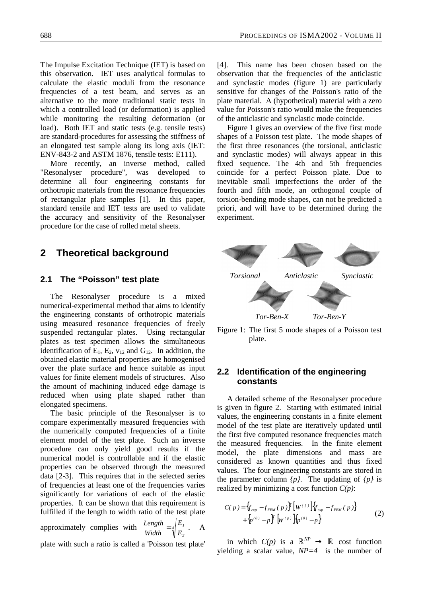The Impulse Excitation Technique (IET) is based on this observation. IET uses analytical formulas to calculate the elastic moduli from the resonance frequencies of a test beam, and serves as an alternative to the more traditional static tests in which a controlled load (or deformation) is applied while monitoring the resulting deformation (or load). Both IET and static tests (e.g. tensile tests) are standard-procedures for assessing the stiffness of an elongated test sample along its long axis (IET: ENV-843-2 and ASTM 1876, tensile tests: E111).

More recently, an inverse method, called "Resonalyser procedure", was developed to determine all four engineering constants for orthotropic materials from the resonance frequencies of rectangular plate samples [1]. In this paper, standard tensile and IET tests are used to validate the accuracy and sensitivity of the Resonalyser procedure for the case of rolled metal sheets.

## **2 Theoretical background**

#### **2.1 The "Poisson" test plate**

The Resonalyser procedure is a mixed numerical-experimental method that aims to identify the engineering constants of orthotropic materials using measured resonance frequencies of freely suspended rectangular plates. Using rectangular plates as test specimen allows the simultaneous identification of  $E_1$ ,  $E_2$ ,  $v_{12}$  and  $G_{12}$ . In addition, the obtained elastic material properties are homogenised over the plate surface and hence suitable as input values for finite element models of structures. Also the amount of machining induced edge damage is reduced when using plate shaped rather than elongated specimens.

The basic principle of the Resonalyser is to compare experimentally measured frequencies with the numerically computed frequencies of a finite element model of the test plate. Such an inverse procedure can only yield good results if the numerical model is controllable and if the elastic properties can be observed through the measured data [2-3]. This requires that in the selected series of frequencies at least one of the frequencies varies significantly for variations of each of the elastic properties. It can be shown that this requirement is fulfilled if the length to width ratio of the test plate *1 E Length*

approximately complies with 
$$
\frac{Length}{Width} = \sqrt[4]{\frac{E_1}{E_2}}
$$
. A

plate with such a ratio is called a 'Poisson test plate'

[4]. This name has been chosen based on the observation that the frequencies of the anticlastic and synclastic modes (figure 1) are particularly sensitive for changes of the Poisson's ratio of the plate material. A (hypothetical) material with a zero value for Poisson's ratio would make the frequencies of the anticlastic and synclastic mode coincide.

Figure 1 gives an overview of the five first mode shapes of a Poisson test plate. The mode shapes of the first three resonances (the torsional, anticlastic and synclastic modes) will always appear in this fixed sequence. The 4th and 5th frequencies coincide for a perfect Poisson plate. Due to inevitable small imperfections the order of the fourth and fifth mode, an orthogonal couple of torsion-bending mode shapes, can not be predicted a priori, and will have to be determined during the experiment.



Figure 1: The first 5 mode shapes of a Poisson test plate.

#### **2.2 Identification of the engineering constants**

A detailed scheme of the Resonalyser procedure is given in figure 2. Starting with estimated initial values, the engineering constants in a finite element model of the test plate are iteratively updated until the first five computed resonance frequencies match the measured frequencies. In the finite element model, the plate dimensions and mass are considered as known quantities and thus fixed values. The four engineering constants are stored in the parameter column *{p}*. The updating of *{p}* is realized by minimizing a cost function *C(p)*:

$$
C(p) = \left\{ f_{exp} - f_{FEM}(p) \right\}^T \left[ W^{(f)} \right] \left\{ f_{exp} - f_{FEM}(p) \right\} + \left\{ p^{(0)} - p \right\}^T \left[ W^{(p)} \right] \left\{ p^{(0)} - p \right\} \tag{2}
$$

in which  $C(p)$  is a  $\mathbb{R}^{NP} \to \mathbb{R}$  cost function yielding a scalar value, *NP=4* is the number of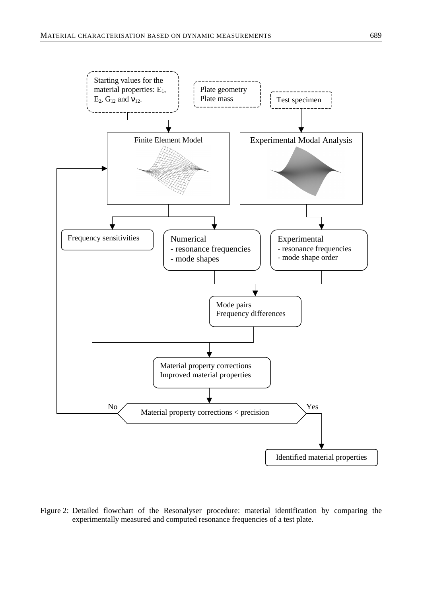

Figure 2: Detailed flowchart of the Resonalyser procedure: material identification by comparing the experimentally measured and computed resonance frequencies of a test plate.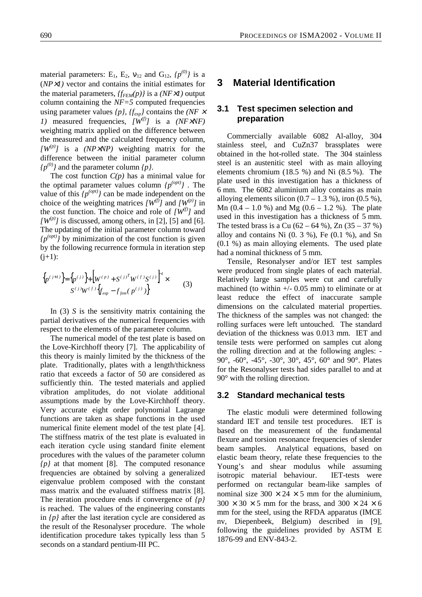material parameters:  $E_1$ ,  $E_2$ ,  $v_{12}$  and  $G_{12}$ ,  $\{p^{(0)}\}$  is a (*NP*×*1)* vector and contains the initial estimates for the material parameters, *{fFEM(p)}* is a *(NF*×*1)* output column containing the *NF=5* computed frequencies using parameter values *{p}*, *{fexp}* contains the *(NF* <sup>×</sup> *1*) measured frequencies,  $[W^{(f)}]$  is a  $(NF\times NF)$ weighting matrix applied on the difference between the measured and the calculated frequency column,  $\left[W^{(p)}\right]$  is a *(NP×NP)* weighting matrix for the difference between the initial parameter column  $\{p^{(0)}\}$  and the parameter column  $\{p\}$ .

The cost function *C(p)* has a minimal value for the optimal parameter values column  $\{p^{(opt)}\}$ . The value of this  $\{p^{(opt)}\}$  can be made independent on the choice of the weighting matrices  $[W^{(f)}]$  and  $[W^{(p)}]$  in the cost function. The choice and role of  $[W^{(f)}]$  and  $[W^{(p)}]$  is discussed, among others, in [2], [5] and [6]. The updating of the initial parameter column toward  $\{p^{(opt)}\}$  by minimization of the cost function is given by the following recurrence formula in iteration step  $(j+1)$ :

$$
\{p^{(j+1)}\} = \{p^{(j)}\} + \left[W^{(p)} + S^{(j)}^T W^{(f)} S^{(j)}\right]^T \times S^{(j)} W^{(f)} \{f_{exp} - f_{fem}(p^{(j)})\}
$$
(3)

In (3) *S* is the sensitivity matrix containing the partial derivatives of the numerical frequencies with respect to the elements of the parameter column.

The numerical model of the test plate is based on the Love-Kirchhoff theory [7]. The applicability of this theory is mainly limited by the thickness of the plate. Traditionally, plates with a length/thickness ratio that exceeds a factor of 50 are considered as sufficiently thin. The tested materials and applied vibration amplitudes, do not violate additional assumptions made by the Love-Kirchhoff theory. Very accurate eight order polynomial Lagrange functions are taken as shape functions in the used numerical finite element model of the test plate [4]. The stiffness matrix of the test plate is evaluated in each iteration cycle using standard finite element procedures with the values of the parameter column *{p}* at that moment [8]. The computed resonance frequencies are obtained by solving a generalized eigenvalue problem composed with the constant mass matrix and the evaluated stiffness matrix [8]. The iteration procedure ends if convergence of *{p}* is reached. The values of the engineering constants in *{p}* after the last iteration cycle are considered as the result of the Resonalyser procedure. The whole identification procedure takes typically less than 5 seconds on a standard pentium-III PC.

# **3 Material Identification**

#### **3.1 Test specimen selection and preparation**

Commercially available 6082 Al-alloy, 304 stainless steel, and CuZn37 brassplates were obtained in the hot-rolled state. The 304 stainless steel is an austenitic steel with as main alloying elements chromium (18.5 %) and Ni (8.5 %). The plate used in this investigation has a thickness of 6 mm. The 6082 aluminium alloy contains as main alloying elements silicon  $(0.7 – 1.3 %)$ , iron  $(0.5 %)$ , Mn  $(0.4 - 1.0 \%)$  and Mg  $(0.6 - 1.2 \%)$ . The plate used in this investigation has a thickness of 5 mm. The tested brass is a Cu  $(62 - 64 \%)$ , Zn  $(35 - 37 \%)$ alloy and contains Ni  $(0.3 \%)$ , Fe  $(0.1 \%)$ , and Sn (0.1 %) as main alloying elements. The used plate had a nominal thickness of 5 mm.

Tensile, Resonalyser and/or IET test samples were produced from single plates of each material. Relatively large samples were cut and carefully machined (to within  $+/-$  0.05 mm) to eliminate or at least reduce the effect of inaccurate sample dimensions on the calculated material properties. The thickness of the samples was not changed: the rolling surfaces were left untouched. The standard deviation of the thickness was 0.013 mm. IET and tensile tests were performed on samples cut along the rolling direction and at the following angles: - 90°, -60°, -45°, -30°, 30°, 45°, 60° and 90°. Plates for the Resonalyser tests had sides parallel to and at 90° with the rolling direction.

#### **3.2 Standard mechanical tests**

The elastic moduli were determined following standard IET and tensile test procedures. IET is based on the measurement of the fundamental flexure and torsion resonance frequencies of slender beam samples. Analytical equations, based on elastic beam theory, relate these frequencies to the Young's and shear modulus while assuming isotropic material behaviour. IET-tests were performed on rectangular beam-like samples of nominal size  $300 \times 24 \times 5$  mm for the aluminium,  $300 \times 30 \times 5$  mm for the brass, and  $300 \times 24 \times 6$ mm for the steel, using the RFDA apparatus (IMCE nv, Diepenbeek, Belgium) described in [9], following the guidelines provided by ASTM E 1876-99 and ENV-843-2.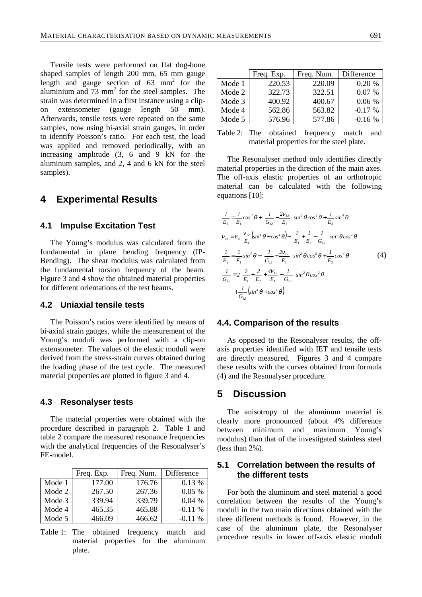Tensile tests were performed on flat dog-bone shaped samples of length 200 mm, 65 mm gauge length and gauge section of  $63 \text{ mm}^2$  for the aluminium and  $73 \text{ mm}^2$  for the steel samples. The strain was determined in a first instance using a clipon extensometer (gauge length 50 mm). Afterwards, tensile tests were repeated on the same samples, now using bi-axial strain gauges, in order to identify Poisson's ratio. For each test, the load was applied and removed periodically, with an increasing amplitude (3, 6 and 9 kN for the aluminum samples, and 2, 4 and 6 kN for the steel samples).

### **4 Experimental Results**

#### **4.1 Impulse Excitation Test**

The Young's modulus was calculated from the fundamental in plane bending frequency (IP-Bending). The shear modulus was calculated from the fundamental torsion frequency of the beam. Figure 3 and 4 show the obtained material properties for different orientations of the test beams.

#### **4.2 Uniaxial tensile tests**

The Poisson's ratios were identified by means of bi-axial strain gauges, while the measurement of the Young's moduli was performed with a clip-on extensometer. The values of the elastic moduli were derived from the stress-strain curves obtained during the loading phase of the test cycle. The measured material properties are plotted in figure 3 and 4.

#### **4.3 Resonalyser tests**

The material properties were obtained with the procedure described in paragraph 2. Table 1 and table 2 compare the measured resonance frequencies with the analytical frequencies of the Resonalyser's FE-model.

|        | Freq. Exp. | Freq. Num. | Difference |
|--------|------------|------------|------------|
| Mode 1 | 177.00     | 176.76     | $0.13\%$   |
| Mode 2 | 267.50     | 267.36     | $0.05\%$   |
| Mode 3 | 339.94     | 339.79     | 0.04%      |
| Mode 4 | 465.35     | 465.88     | $-0.11%$   |
| Mode 5 | 466.09     | 466.62     | $-0.11\%$  |

Table 1: The obtained frequency match and material properties for the aluminum plate.

|        | Freq. Exp. | Freq. Num. | Difference |
|--------|------------|------------|------------|
| Mode 1 | 220.53     | 220.09     | 0.20%      |
| Mode 2 | 322.73     | 322.51     | $0.07\%$   |
| Mode 3 | 400.92     | 400.67     | $0.06\%$   |
| Mode 4 | 562.86     | 563.82     | $-0.17\%$  |
| Mode 5 | 576.96     | 577.86     | $-0.16%$   |

Table 2: The obtained frequency match and material properties for the steel plate.

The Resonalyser method only identifies directly material properties in the direction of the main axes. The off-axis elastic properties of an orthotropic material can be calculated with the following equations [10]:

$$
\frac{1}{E_x} = \frac{1}{E_l} \cos^4 \theta + \left(\frac{1}{G_{l2}} - \frac{2v_{l2}}{E_l}\right) \sin^2 \theta \cos^2 \theta + \frac{1}{E_2} \sin^4 \theta
$$
\n
$$
v_{xy} = E_x \left[ \frac{v_{l2}}{E_l} \left( \sin^4 \theta + \cos^4 \theta \right) - \left( \frac{1}{E_l} + \frac{1}{E_2} - \frac{1}{G_{l2}} \right) \sin^2 \theta \cos^2 \theta \right]
$$
\n
$$
\frac{1}{E_y} = \frac{1}{E_l} \sin^4 \theta + \left( \frac{1}{G_{l2}} - \frac{2v_{l2}}{E_l} \right) \sin^2 \theta \cos^2 \theta + \frac{1}{E_2} \cos^4 \theta
$$
\n
$$
\frac{1}{G_{xy}} = 2 \left( \frac{2}{E_l} + \frac{2}{E_2} + \frac{4v_{l2}}{E_l} - \frac{1}{G_{l2}} \right) \sin^2 \theta \cos^2 \theta
$$
\n
$$
+ \frac{1}{G_{l2}} \left( \sin^4 \theta + \cos^4 \theta \right)
$$
\n(4)

#### **4.4. Comparison of the results**

As opposed to the Resonalyser results, the offaxis properties identified with IET and tensile tests are directly measured. Figures 3 and 4 compare these results with the curves obtained from formula (4) and the Resonalyser procedure.

### **5 Discussion**

The anisotropy of the aluminum material is clearly more pronounced (about 4% difference between minimum and maximum Young's modulus) than that of the investigated stainless steel (less than 2%).

### **5.1 Correlation between the results of the different tests**

For both the aluminum and steel material a good correlation between the results of the Young's moduli in the two main directions obtained with the three different methods is found. However, in the case of the aluminum plate, the Resonalyser procedure results in lower off-axis elastic moduli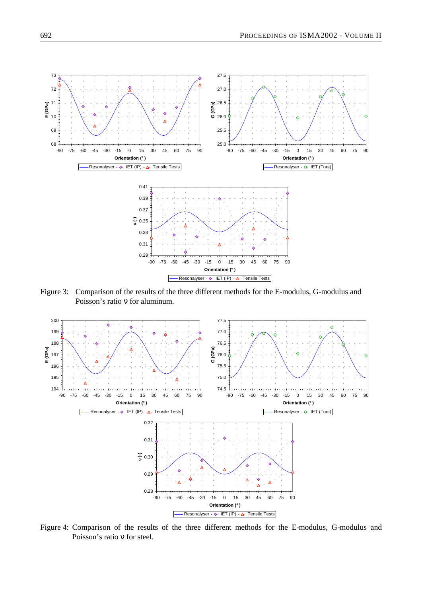

Figure 3: Comparison of the results of the three different methods for the E-modulus, G-modulus and Poisson's ratio ν for aluminum.



Figure 4: Comparison of the results of the three different methods for the E-modulus, G-modulus and Poisson's ratio ν for steel.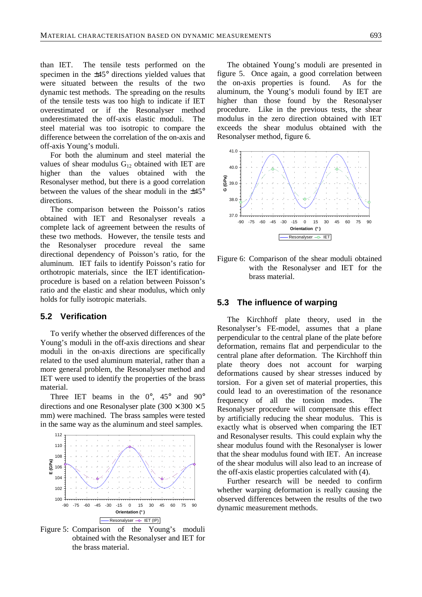than IET. The tensile tests performed on the specimen in the ±45° directions yielded values that were situated between the results of the two dynamic test methods. The spreading on the results of the tensile tests was too high to indicate if IET overestimated or if the Resonalyser method underestimated the off-axis elastic moduli. The steel material was too isotropic to compare the difference between the correlation of the on-axis and off-axis Young's moduli.

For both the aluminum and steel material the values of shear modulus  $G_{12}$  obtained with IET are higher than the values obtained with the Resonalyser method, but there is a good correlation between the values of the shear moduli in the  $+45^{\circ}$ directions.

The comparison between the Poisson's ratios obtained with IET and Resonalyser reveals a complete lack of agreement between the results of these two methods. However, the tensile tests and the Resonalyser procedure reveal the same directional dependency of Poisson's ratio, for the aluminum. IET fails to identify Poisson's ratio for orthotropic materials, since the IET identificationprocedure is based on a relation between Poisson's ratio and the elastic and shear modulus, which only holds for fully isotropic materials.

#### **5.2 Verification**

To verify whether the observed differences of the Young's moduli in the off-axis directions and shear moduli in the on-axis directions are specifically related to the used aluminum material, rather than a more general problem, the Resonalyser method and IET were used to identify the properties of the brass material.

Three IET beams in the  $0^\circ$ ,  $45^\circ$  and  $90^\circ$ directions and one Resonalyser plate  $(300 \times 300 \times 5$ mm) were machined. The brass samples were tested in the same way as the aluminum and steel samples.



Figure 5: Comparison of the Young's moduli obtained with the Resonalyser and IET for the brass material.

The obtained Young's moduli are presented in figure 5. Once again, a good correlation between the on-axis properties is found. As for the aluminum, the Young's moduli found by IET are higher than those found by the Resonalyser procedure. Like in the previous tests, the shear modulus in the zero direction obtained with IET exceeds the shear modulus obtained with the Resonalyser method, figure 6.



Figure 6: Comparison of the shear moduli obtained with the Resonalyser and IET for the brass material.

#### **5.3 The influence of warping**

The Kirchhoff plate theory, used in the Resonalyser's FE-model, assumes that a plane perpendicular to the central plane of the plate before deformation, remains flat and perpendicular to the central plane after deformation. The Kirchhoff thin plate theory does not account for warping deformations caused by shear stresses induced by torsion. For a given set of material properties, this could lead to an overestimation of the resonance frequency of all the torsion modes. The Resonalyser procedure will compensate this effect by artificially reducing the shear modulus. This is exactly what is observed when comparing the IET and Resonalyser results. This could explain why the shear modulus found with the Resonalyser is lower that the shear modulus found with IET. An increase of the shear modulus will also lead to an increase of the off-axis elastic properties calculated with (4).

Further research will be needed to confirm whether warping deformation is really causing the observed differences between the results of the two dynamic measurement methods.